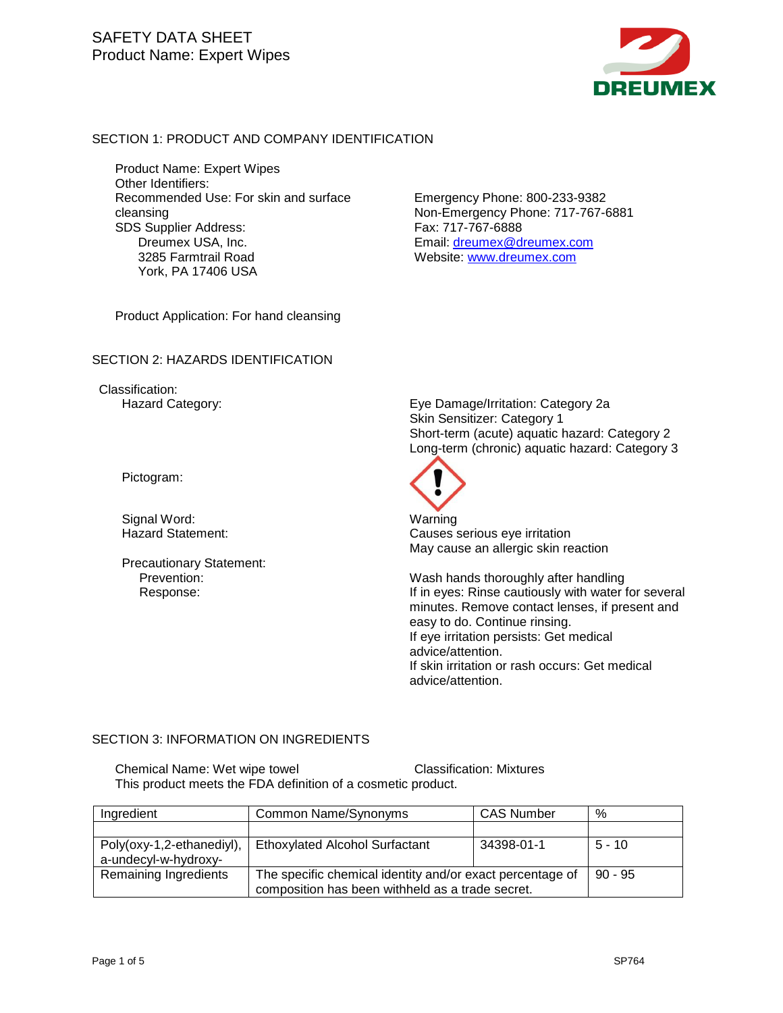

#### SECTION 1: PRODUCT AND COMPANY IDENTIFICATION

Product Name: Expert Wipes Other Identifiers: Recommended Use: For skin and surface cleansing SDS Supplier Address: Dreumex USA, Inc. 3285 Farmtrail Road York, PA 17406 USA

Emergency Phone: 800-233-9382 Non-Emergency Phone: 717-767-6881 Fax: 717-767-6888 Email: [dreumex@dreumex.com](mailto:dreumex@dreumex.com) Website: [www.dreumex.com](http://www.dreumex.com/)

Product Application: For hand cleansing

#### SECTION 2: HAZARDS IDENTIFICATION

Classification:

Pictogram:

Precautionary Statement:<br>Prevention:

Hazard Category: Eye Damage/Irritation: Category 2a Skin Sensitizer: Category 1 Short-term (acute) aquatic hazard: Category 2 Long-term (chronic) aquatic hazard: Category 3



Signal Word: Warning Causes serious eye irritation May cause an allergic skin reaction

Wash hands thoroughly after handling Response: If in eyes: Rinse cautiously with water for several minutes. Remove contact lenses, if present and easy to do. Continue rinsing. If eye irritation persists: Get medical advice/attention. If skin irritation or rash occurs: Get medical advice/attention.

#### SECTION 3: INFORMATION ON INGREDIENTS

Chemical Name: Wet wipe towel Classification: Mixtures This product meets the FDA definition of a cosmetic product.

| Ingredient                                        | Common Name/Synonyms                                                                                          | <b>CAS Number</b> | %         |
|---------------------------------------------------|---------------------------------------------------------------------------------------------------------------|-------------------|-----------|
|                                                   |                                                                                                               |                   |           |
| Poly(oxy-1,2-ethanediyl),<br>a-undecyl-w-hydroxy- | <b>Ethoxylated Alcohol Surfactant</b>                                                                         | 34398-01-1        | $5 - 10$  |
| Remaining Ingredients                             | The specific chemical identity and/or exact percentage of<br>composition has been withheld as a trade secret. |                   | $90 - 95$ |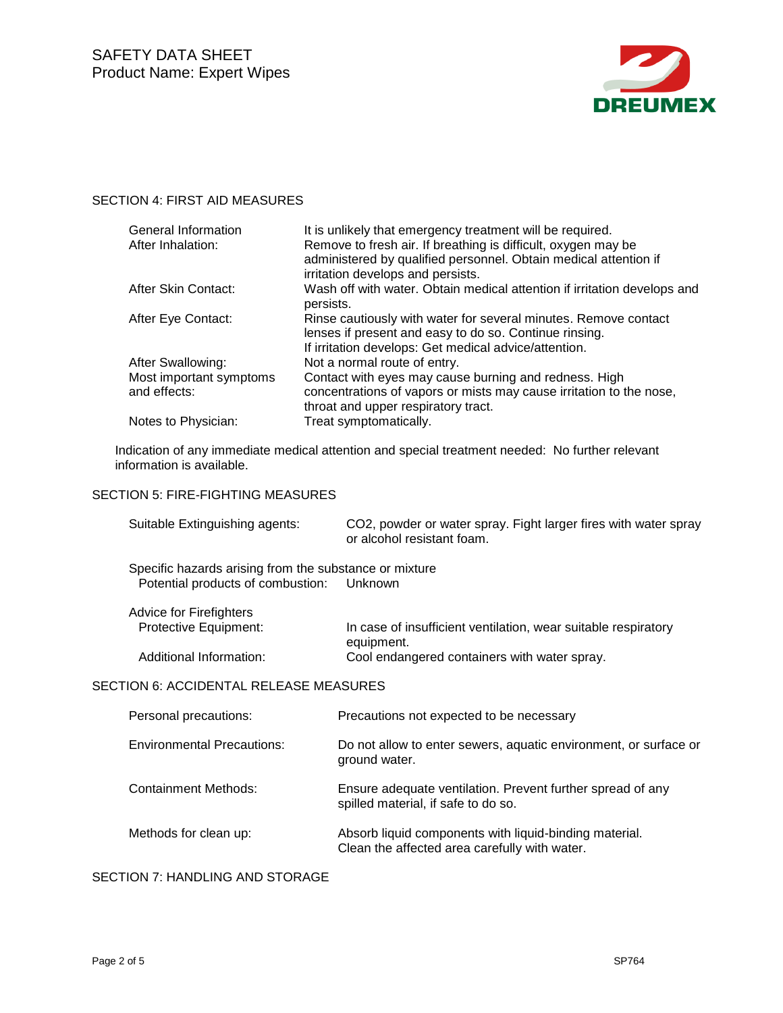

# SECTION 4: FIRST AID MEASURES

| <b>General Information</b><br>After Inhalation: | It is unlikely that emergency treatment will be required.<br>Remove to fresh air. If breathing is difficult, oxygen may be<br>administered by qualified personnel. Obtain medical attention if<br>irritation develops and persists. |
|-------------------------------------------------|-------------------------------------------------------------------------------------------------------------------------------------------------------------------------------------------------------------------------------------|
| After Skin Contact:                             | Wash off with water. Obtain medical attention if irritation develops and<br>persists.                                                                                                                                               |
| After Eye Contact:                              | Rinse cautiously with water for several minutes. Remove contact<br>lenses if present and easy to do so. Continue rinsing.<br>If irritation develops: Get medical advice/attention.                                                  |
| After Swallowing:                               | Not a normal route of entry.                                                                                                                                                                                                        |
| Most important symptoms                         | Contact with eyes may cause burning and redness. High                                                                                                                                                                               |
| and effects:                                    | concentrations of vapors or mists may cause irritation to the nose,<br>throat and upper respiratory tract.                                                                                                                          |
| Notes to Physician:                             | Treat symptomatically.                                                                                                                                                                                                              |

Indication of any immediate medical attention and special treatment needed: No further relevant information is available.

## SECTION 5: FIRE-FIGHTING MEASURES

| Suitable Extinguishing agents:                         | CO2, powder or water spray. Fight larger fires with water spray<br>or alcohol resistant foam. |
|--------------------------------------------------------|-----------------------------------------------------------------------------------------------|
| Specific hazards arising from the substance or mixture |                                                                                               |
| Potential products of combustion:                      | Unknown                                                                                       |
| <b>Advice for Firefighters</b>                         |                                                                                               |
| Protective Equipment:                                  | In case of insufficient ventilation, wear suitable respiratory<br>equipment.                  |
| Additional Information:                                | Cool endangered containers with water spray.                                                  |
| SECTION 6: ACCIDENTAL RELEASE MEASURES                 |                                                                                               |

| Personal precautions:             | Precautions not expected to be necessary                                                                |
|-----------------------------------|---------------------------------------------------------------------------------------------------------|
| <b>Environmental Precautions:</b> | Do not allow to enter sewers, aquatic environment, or surface or<br>ground water.                       |
| <b>Containment Methods:</b>       | Ensure adequate ventilation. Prevent further spread of any<br>spilled material, if safe to do so.       |
| Methods for clean up:             | Absorb liquid components with liquid-binding material.<br>Clean the affected area carefully with water. |

## SECTION 7: HANDLING AND STORAGE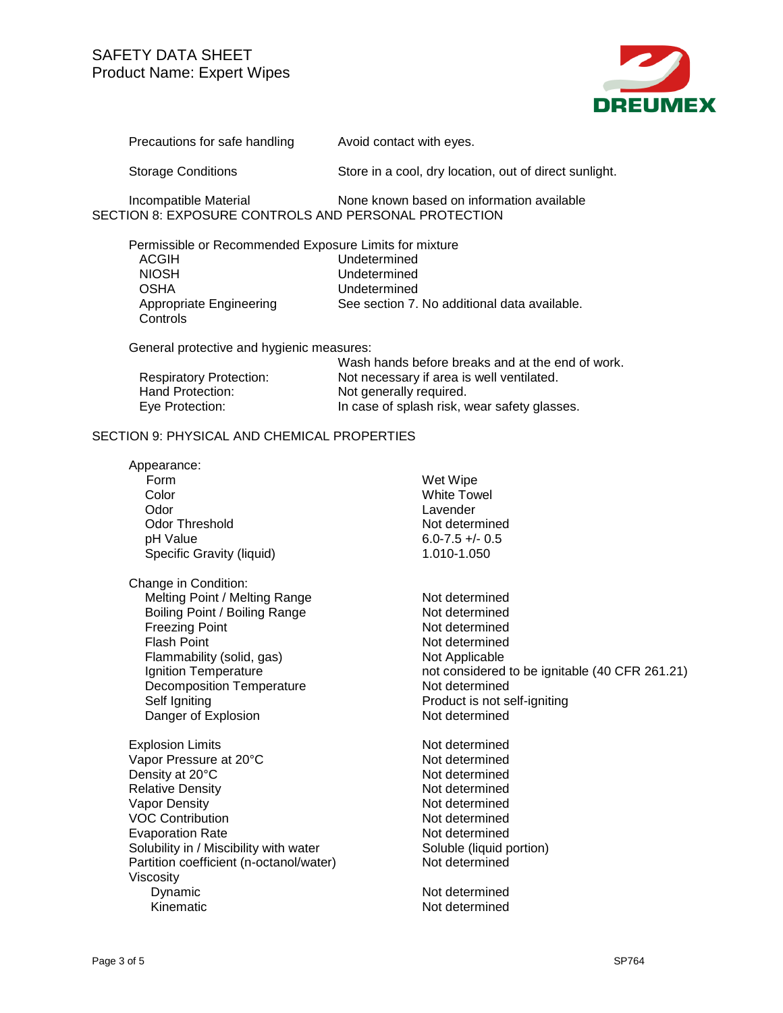

Precautions for safe handling Avoid contact with eyes.

**Controls** 

Storage Conditions Store in a cool, dry location, out of direct sunlight.

Incompatible Material None known based on information available SECTION 8: EXPOSURE CONTROLS AND PERSONAL PROTECTION

Permissible or Recommended Exposure Limits for mixture ACGIH Undetermined<br>NIOSH Undetermined NIOSH Undetermined<br>
OSHA Undetermined Undetermined Appropriate Engineering See section 7. No additional data available.

General protective and hygienic measures:

|                                | Wash hands before breaks and at the end of work. |
|--------------------------------|--------------------------------------------------|
| <b>Respiratory Protection:</b> | Not necessary if area is well ventilated.        |
| Hand Protection:               | Not generally required.                          |
| Eye Protection:                | In case of splash risk, wear safety glasses.     |

### SECTION 9: PHYSICAL AND CHEMICAL PROPERTIES

| Appearance:                             |                                                |
|-----------------------------------------|------------------------------------------------|
| Form                                    | Wet Wipe                                       |
| Color                                   | <b>White Towel</b>                             |
| Odor                                    | Lavender                                       |
| Odor Threshold                          | Not determined                                 |
| pH Value                                | $6.0 - 7.5 + (-0.5)$                           |
| Specific Gravity (liquid)               | 1.010-1.050                                    |
| Change in Condition:                    |                                                |
| Melting Point / Melting Range           | Not determined                                 |
| Boiling Point / Boiling Range           | Not determined                                 |
| <b>Freezing Point</b>                   | Not determined                                 |
| <b>Flash Point</b>                      | Not determined                                 |
| Flammability (solid, gas)               | Not Applicable                                 |
| Ignition Temperature                    | not considered to be ignitable (40 CFR 261.21) |
| <b>Decomposition Temperature</b>        | Not determined                                 |
| Self Igniting                           | Product is not self-igniting                   |
| Danger of Explosion                     | Not determined                                 |
| <b>Explosion Limits</b>                 | Not determined                                 |
| Vapor Pressure at 20°C                  | Not determined                                 |
| Density at 20°C                         | Not determined                                 |
| <b>Relative Density</b>                 | Not determined                                 |
| Vapor Density                           | Not determined                                 |
| <b>VOC Contribution</b>                 | Not determined                                 |
| <b>Evaporation Rate</b>                 | Not determined                                 |
| Solubility in / Miscibility with water  | Soluble (liquid portion)                       |
| Partition coefficient (n-octanol/water) | Not determined                                 |
| Viscosity                               |                                                |
| Dynamic                                 | Not determined                                 |
| Kinematic                               | Not determined                                 |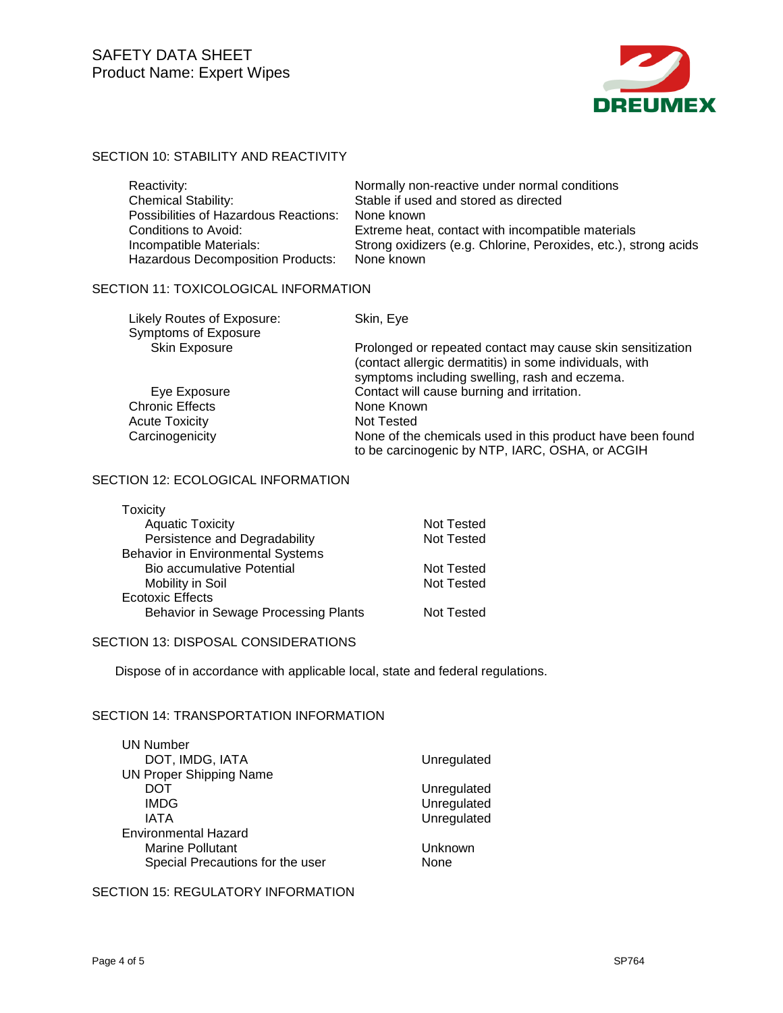

# SECTION 10: STABILITY AND REACTIVITY

| Reactivity:                              | Normally non-reactive under normal conditions                   |
|------------------------------------------|-----------------------------------------------------------------|
| <b>Chemical Stability:</b>               | Stable if used and stored as directed                           |
| Possibilities of Hazardous Reactions:    | None known                                                      |
| <b>Conditions to Avoid:</b>              | Extreme heat, contact with incompatible materials               |
| Incompatible Materials:                  | Strong oxidizers (e.g. Chlorine, Peroxides, etc.), strong acids |
| <b>Hazardous Decomposition Products:</b> | None known                                                      |

## SECTION 11: TOXICOLOGICAL INFORMATION

| Likely Routes of Exposure: | Skin, Eye                                                                                                                                                              |
|----------------------------|------------------------------------------------------------------------------------------------------------------------------------------------------------------------|
| Symptoms of Exposure       |                                                                                                                                                                        |
| <b>Skin Exposure</b>       | Prolonged or repeated contact may cause skin sensitization<br>(contact allergic dermatitis) in some individuals, with<br>symptoms including swelling, rash and eczema. |
| Eye Exposure               | Contact will cause burning and irritation.                                                                                                                             |
| <b>Chronic Effects</b>     | None Known                                                                                                                                                             |
| <b>Acute Toxicity</b>      | Not Tested                                                                                                                                                             |
| Carcinogenicity            | None of the chemicals used in this product have been found<br>to be carcinogenic by NTP, IARC, OSHA, or ACGIH                                                          |

### SECTION 12: ECOLOGICAL INFORMATION

| Toxicity                                 |                   |
|------------------------------------------|-------------------|
| <b>Aquatic Toxicity</b>                  | Not Tested        |
| Persistence and Degradability            | Not Tested        |
| <b>Behavior in Environmental Systems</b> |                   |
| Bio accumulative Potential               | Not Tested        |
| Mobility in Soil                         | <b>Not Tested</b> |
| <b>Ecotoxic Effects</b>                  |                   |
| Behavior in Sewage Processing Plants     | Not Tested        |

#### SECTION 13: DISPOSAL CONSIDERATIONS

Dispose of in accordance with applicable local, state and federal regulations.

### SECTION 14: TRANSPORTATION INFORMATION

| <b>UN Number</b>                 |             |
|----------------------------------|-------------|
| DOT, IMDG, IATA                  | Unregulated |
| <b>UN Proper Shipping Name</b>   |             |
| DOT                              | Unregulated |
| <b>IMDG</b>                      | Unregulated |
| IATA                             | Unregulated |
| <b>Environmental Hazard</b>      |             |
| <b>Marine Pollutant</b>          | Unknown     |
| Special Precautions for the user | None        |

### SECTION 15: REGULATORY INFORMATION